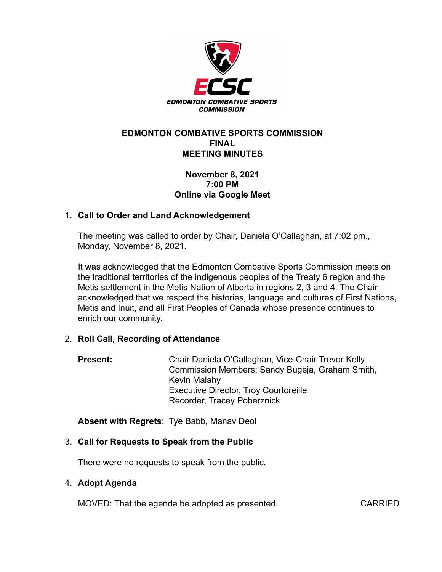

### **EDMONTON COMBATIVE SPORTS COMMISSION FINAL MEETING MINUTES**

## **November 8, 2021 7:00 PM Online via Google Meet**

### 1. **Call to Order and Land Acknowledgement**

The meeting was called to order by Chair, Daniela O'Callaghan, at 7:02 pm., Monday, November 8, 2021.

It was acknowledged that the Edmonton Combative Sports Commission meets on the traditional territories of the indigenous peoples of the Treaty 6 region and the Metis settlement in the Metis Nation of Alberta in regions 2, 3 and 4. The Chair acknowledged that we respect the histories, language and cultures of First Nations, Metis and Inuit, and all First Peoples of Canada whose presence continues to enrich our community.

# 2. **Roll Call, Recording of Attendance**

**Present:** Chair Daniela O'Callaghan, Vice-Chair Trevor Kelly Commission Members: Sandy Bugeja, Graham Smith, Kevin Malahy Executive Director, Troy Courtoreille Recorder, Tracey Poberznick

**Absent with Regrets**: Tye Babb, Manav Deol

### 3. **Call for Requests to Speak from the Public**

There were no requests to speak from the public.

### 4. **Adopt Agenda**

MOVED: That the agenda be adopted as presented. CARRIED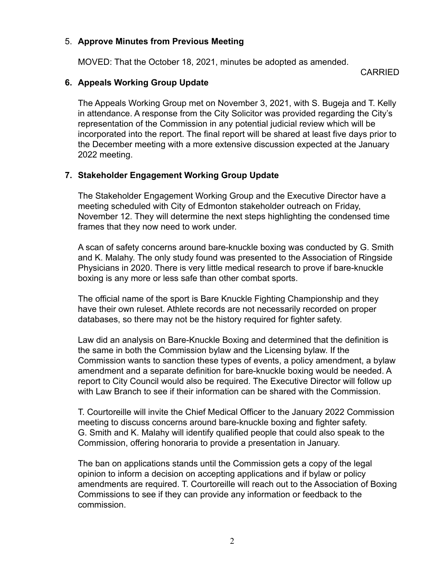## 5. **Approve Minutes from Previous Meeting**

MOVED: That the October 18, 2021, minutes be adopted as amended.

CARRIED

## **6. Appeals Working Group Update**

The Appeals Working Group met on November 3, 2021, with S. Bugeja and T. Kelly in attendance. A response from the City Solicitor was provided regarding the City's representation of the Commission in any potential judicial review which will be incorporated into the report. The final report will be shared at least five days prior to the December meeting with a more extensive discussion expected at the January 2022 meeting.

# **7. Stakeholder Engagement Working Group Update**

The Stakeholder Engagement Working Group and the Executive Director have a meeting scheduled with City of Edmonton stakeholder outreach on Friday, November 12. They will determine the next steps highlighting the condensed time frames that they now need to work under.

A scan of safety concerns around bare-knuckle boxing was conducted by G. Smith and K. Malahy. The only study found was presented to the Association of Ringside Physicians in 2020. There is very little medical research to prove if bare-knuckle boxing is any more or less safe than other combat sports.

The official name of the sport is Bare Knuckle Fighting Championship and they have their own ruleset. Athlete records are not necessarily recorded on proper databases, so there may not be the history required for fighter safety.

Law did an analysis on Bare-Knuckle Boxing and determined that the definition is the same in both the Commission bylaw and the Licensing bylaw. If the Commission wants to sanction these types of events, a policy amendment, a bylaw amendment and a separate definition for bare-knuckle boxing would be needed. A report to City Council would also be required. The Executive Director will follow up with Law Branch to see if their information can be shared with the Commission.

T. Courtoreille will invite the Chief Medical Officer to the January 2022 Commission meeting to discuss concerns around bare-knuckle boxing and fighter safety. G. Smith and K. Malahy will identify qualified people that could also speak to the Commission, offering honoraria to provide a presentation in January.

The ban on applications stands until the Commission gets a copy of the legal opinion to inform a decision on accepting applications and if bylaw or policy amendments are required. T. Courtoreille will reach out to the Association of Boxing Commissions to see if they can provide any information or feedback to the commission.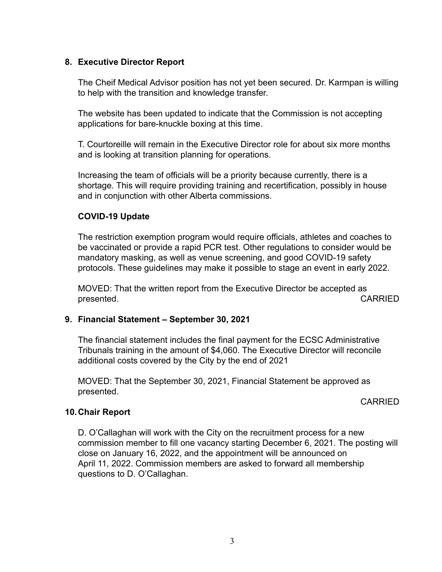## **8. Executive Director Report**

The Cheif Medical Advisor position has not yet been secured. Dr. Karmpan is willing to help with the transition and knowledge transfer.

The website has been updated to indicate that the Commission is not accepting applications for bare-knuckle boxing at this time.

T. Courtoreille will remain in the Executive Director role for about six more months and is looking at transition planning for operations.

Increasing the team of officials will be a priority because currently, there is a shortage. This will require providing training and recertification, possibly in house and in conjunction with other Alberta commissions.

## **COVID-19 Update**

The restriction exemption program would require officials, athletes and coaches to be vaccinated or provide a rapid PCR test. Other regulations to consider would be mandatory masking, as well as venue screening, and good COVID-19 safety protocols. These guidelines may make it possible to stage an event in early 2022.

MOVED: That the written report from the Executive Director be accepted as presented. CARRIED

### **9. Financial Statement – September 30, 2021**

The financial statement includes the final payment for the ECSC Administrative Tribunals training in the amount of \$4,060. The Executive Director will reconcile additional costs covered by the City by the end of 2021

MOVED: That the September 30, 2021, Financial Statement be approved as presented.

CARRIED

### **10.Chair Report**

D. O'Callaghan will work with the City on the recruitment process for a new commission member to fill one vacancy starting December 6, 2021. The posting will close on January 16, 2022, and the appointment will be announced on April 11, 2022. Commission members are asked to forward all membership questions to D. O'Callaghan.